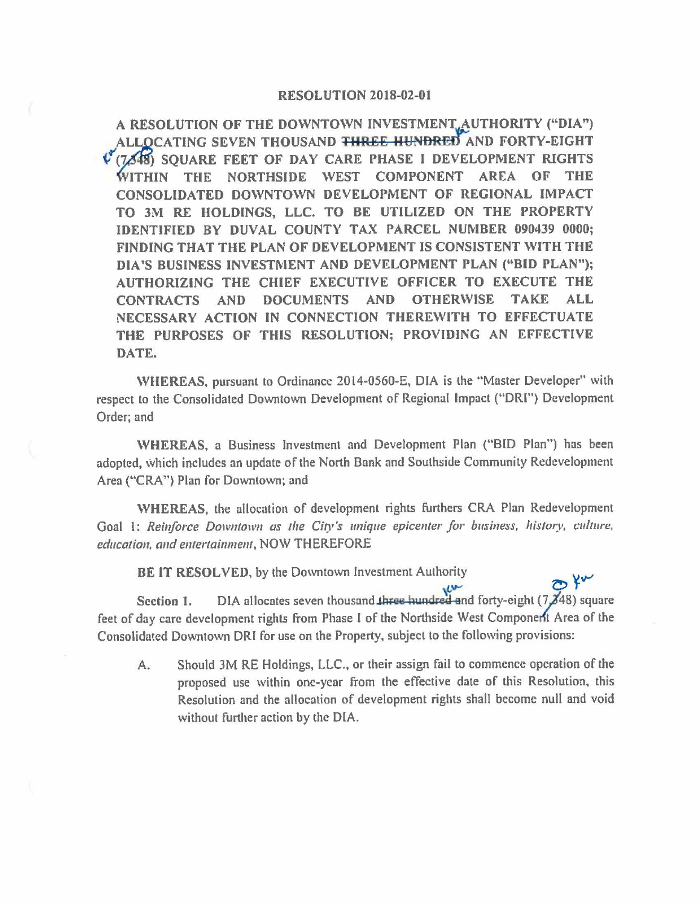## **RESOLUTION 2018-02-01**

A RESOLUTION OF THE DOWNTOWN INVESTMENT, AUTHORITY ("DIA") **CATING SEVEN THOUSAND THREE HUNDRED AND FORTY-EIGHT**  (7.648) SOUARE FEET OF DAY CARE PHASE I DEVELOPMENT RIGHTS **HIN THE NORTHSIDE \VEST COMPONENT AREA OF THE**  CONSOLIDATED DOWNTOWN DEVELOPMENT OF REGIONAL IMPACT **TO 3M RE HOLDINGS,** LLC. **TO BE UTILIZED ON THE PROPERTY IDENTIFIED BY DUVAL COUNTY TAX PARCEL NUMBER 090439 0000; FINDING THAT THE PLAN OF DEVELOPMENT IS CONSISTENT WITH THE DIA'S BUSINESS INVESTMENT AND DEVELOPMENT PLAN ("BID PLAN"); AUTHORIZING THE CHIEF EXECUTIVE OFFICER TO EXECUTE THE CONTRACTS AND DOCUMENTS AND OTHERWISE TAKE ALL NECESSARY ACTION IN CONNECTION THEREWITH TO EFFECTUATE THE PURPOSES OF THIS RESOLUTION; PROVIDING AN EFFECTIVE DATE.** 

**WHEREAS, pursuant to Ordinance 2014-0560-E, DIA is the "Master Developer" with** respect to the Consolidated Downtown Development of Regional Impact ("DRI") Development Order; and

**\VHEREAS,** a Business Investment and Development Plan ("BID Plan") has been adopted, which includes an update of the North Bank and Southside Community Redevelopment Area ("CRA'') Plan for Downtown; and

**\VHEREAS,** the allocation of development rights furthers CRA Plan Redevelopment Goal 1: *Reinforce Downtown as the City's unique epicenter for business, history, culture, education, and entertainment, NOW THEREFORE* 

BE IT RESOLVED, by the Downtown Investment Authority

BE IT RESOLYED, by the Downtown investment Authority<br>Section 1. DIA allocates seven thousand three hundred and forty-eight (7,348) square feet of day care development rights from Phase I of the Northside West Component Area of the Consolidated Downtown ORI for use on the Property, subject lo the following provisions:

A. Should 3M RE Holdings, LLC., or their assign fail to commence operation of the proposed use within one-year from the effective date of this Resolution. this Resolution and the allocation of development rights shall become null and void without further action by the DIA.